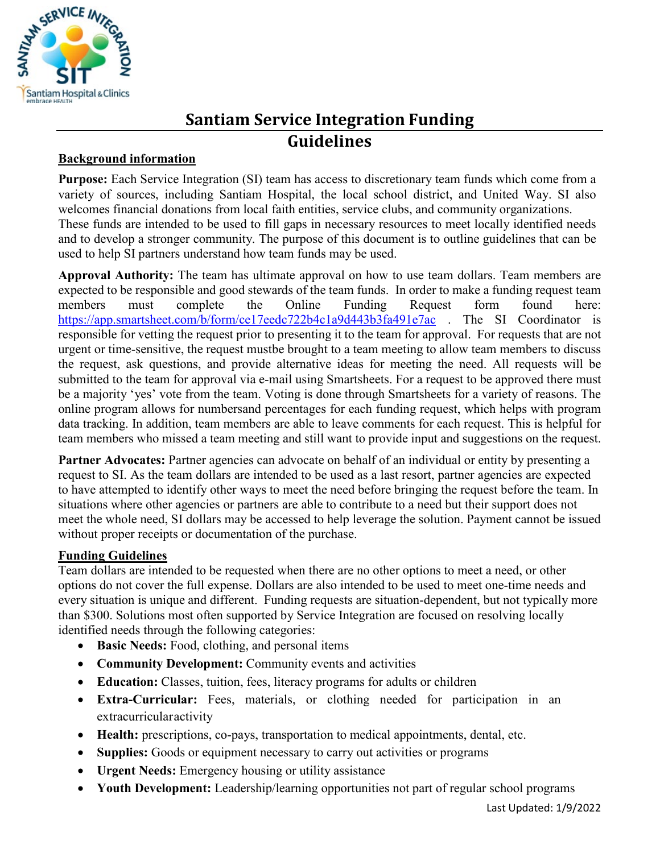

## **Santiam Service Integration Funding Guidelines**

## **Background information**

**Purpose:** Each Service Integration (SI) team has access to discretionary team funds which come from a variety of sources, including Santiam Hospital, the local school district, and United Way. SI also welcomes financial donations from local faith entities, service clubs, and community organizations. These funds are intended to be used to fill gaps in necessary resources to meet locally identified needs and to develop a stronger community. The purpose of this document is to outline guidelines that can be used to help SI partners understand how team funds may be used.

**Approval Authority:** The team has ultimate approval on how to use team dollars. Team members are expected to be responsible and good stewards of the team funds. In order to make a funding request team members must complete the Online Funding Request form found here: <https://app.smartsheet.com/b/form/ce17eedc722b4c1a9d443b3fa491e7ac> . The SI Coordinator is responsible for vetting the request prior to presenting it to the team for approval. For requests that are not urgent or time-sensitive, the request mustbe brought to a team meeting to allow team members to discuss the request, ask questions, and provide alternative ideas for meeting the need. All requests will be submitted to the team for approval via e-mail using Smartsheets. For a request to be approved there must be a majority 'yes' vote from the team. Voting is done through Smartsheets for a variety of reasons. The online program allows for numbersand percentages for each funding request, which helps with program data tracking. In addition, team members are able to leave comments for each request. This is helpful for team members who missed a team meeting and still want to provide input and suggestions on the request.

**Partner Advocates:** Partner agencies can advocate on behalf of an individual or entity by presenting a request to SI. As the team dollars are intended to be used as a last resort, partner agencies are expected to have attempted to identify other ways to meet the need before bringing the request before the team. In situations where other agencies or partners are able to contribute to a need but their support does not meet the whole need, SI dollars may be accessed to help leverage the solution. Payment cannot be issued without proper receipts or documentation of the purchase.

## **Funding Guidelines**

Team dollars are intended to be requested when there are no other options to meet a need, or other options do not cover the full expense. Dollars are also intended to be used to meet one-time needs and every situation is unique and different. Funding requests are situation-dependent, but not typically more than \$300. Solutions most often supported by Service Integration are focused on resolving locally identified needs through the following categories:

- **Basic Needs:** Food, clothing, and personal items
- **Community Development:** Community events and activities
- **Education:** Classes, tuition, fees, literacy programs for adults or children
- **Extra-Curricular:** Fees, materials, or clothing needed for participation in an extracurricular activity
- **Health:** prescriptions, co-pays, transportation to medical appointments, dental, etc.
- **Supplies:** Goods or equipment necessary to carry out activities or programs
- **Urgent Needs:** Emergency housing or utility assistance
- **Youth Development:** Leadership/learning opportunities not part of regular school programs